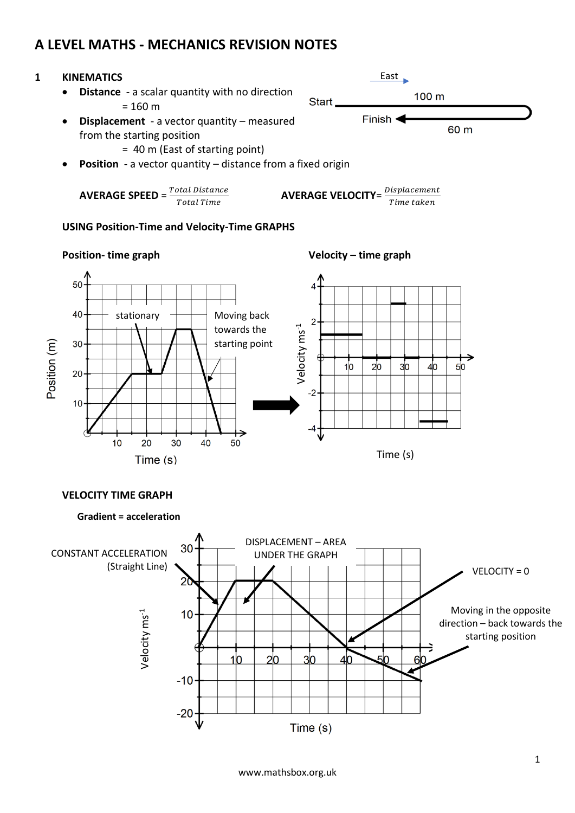# **A LEVEL MATHS - MECHANICS REVISION NOTES**

### **1 KINEMATICS**

• **Distance** - a scalar quantity with no direction  $= 160 m$ 



- = 40 m (East of starting point)
- **Position** a vector quantity distance from a fixed origin

**AVERAGE SPEC** = 
$$
\frac{Total Distance}{Total Time}
$$
  
**AVERAGE VELOCITY** = 
$$
\frac{Displacement}{Time taken}
$$

#### **USING Position-Time and Velocity-Time GRAPHS**



#### **Position- time graph Velocity – time graph**

Start

East

Finish  $\blacktriangleleft$ 

100 m

60 m

### **VELOCITY TIME GRAPH**

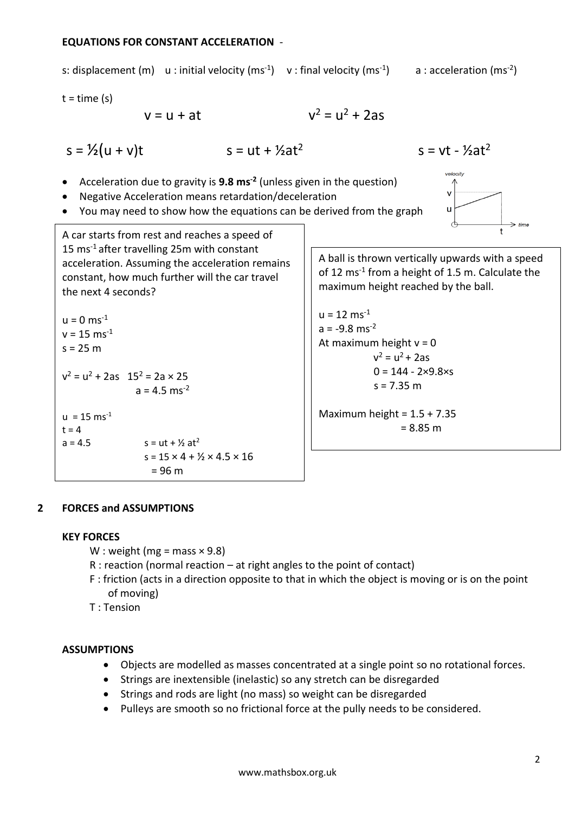#### **EQUATIONS FOR CONSTANT ACCELERATION** -

# s: displacement (m) u : initial velocity (ms<sup>-1</sup>) v : final velocity (ms<sup>-1</sup>) a : acceleration (ms<sup>-2</sup>)  $t = time(s)$  $v^2 = u^2 + 2as$  $v = u + at$  $s = \frac{1}{2}(u + v)t$   $s = ut + \frac{1}{2}at^2$  $s = vt -  $\frac{1}{2}at^2$$ velocity • Acceleration due to gravity is **9.8 ms-2** (unless given in the question) • Negative Acceleration means retardation/deceleration • You may need to show how the equations can be derived from the graph A car starts from rest and reaches a speed of 15 ms-1 after travelling 25m with constant acceleration. Assuming the acceleration remains constant, how much further will the car travel maximum height reached by the ball. the next 4 seconds?  $u = 12$  ms<sup>-1</sup>  $u = 0$  ms<sup>-1</sup>  $a = -9.8$  ms<sup>-2</sup>  $v = 15$  ms<sup>-1</sup> At maximum height  $v = 0$  $s = 25 m$  $v^2 = u^2 + 2as$

 $v^2 = u^2 + 2as$  15<sup>2</sup> = 2a × 25  $a = 4.5$  ms<sup>-2</sup>  $u = 15$  ms<sup>-1</sup>  $t = 4$  $a = 4.5$   $s = ut + ½ at<sup>2</sup>$  $s = 15 \times 4 + 1/2 \times 4.5 \times 16$  $= 96 m$ 

A ball is thrown vertically upwards with a speed of 12 ms<sup>-1</sup> from a height of 1.5 m. Calculate the

 $0 = 144 - 2 \times 9.8 \times s$  $s = 7.35 m$ 

Maximum height =  $1.5 + 7.35$  $= 8.85 m$ 

### **2 FORCES and ASSUMPTIONS**

#### **KEY FORCES**

- W : weight (mg = mass  $\times$  9.8)
- R : reaction (normal reaction at right angles to the point of contact)
- F : friction (acts in a direction opposite to that in which the object is moving or is on the point of moving)

T : Tension

### **ASSUMPTIONS**

- Objects are modelled as masses concentrated at a single point so no rotational forces.
- Strings are inextensible (inelastic) so any stretch can be disregarded
- Strings and rods are light (no mass) so weight can be disregarded
- Pulleys are smooth so no frictional force at the pully needs to be considered.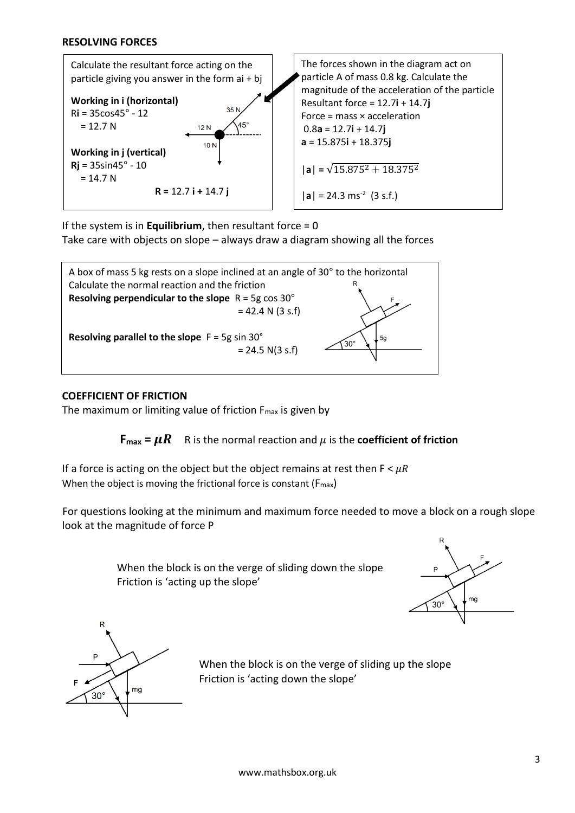

If the system is in **Equilibrium**, then resultant force = 0

Take care with objects on slope – always draw a diagram showing all the forces



### **COEFFICIENT OF FRICTION**

The maximum or limiting value of friction  $F_{\text{max}}$  is given by

**F**<sub>max</sub> =  $\mu$ **R** R is the normal reaction and  $\mu$  is the **coefficient of friction** 

If a force is acting on the object but the object remains at rest then  $F < \mu R$ When the object is moving the frictional force is constant (F<sub>max</sub>)

For questions looking at the minimum and maximum force needed to move a block on a rough slope look at the magnitude of force P

> When the block is on the verge of sliding down the slope Friction is 'acting up the slope'





When the block is on the verge of sliding up the slope Friction is 'acting down the slope'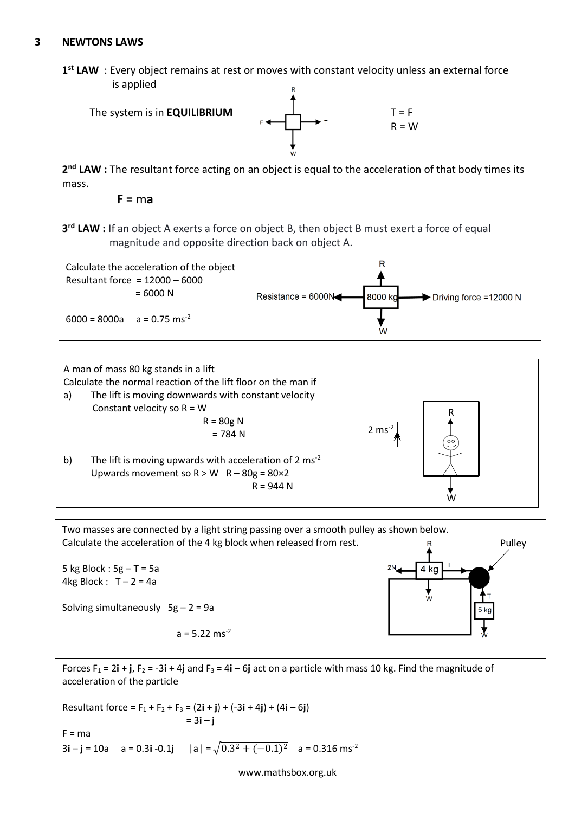### **3 NEWTONS LAWS**

**1 st LAW** : Every object remains at rest or moves with constant velocity unless an external force is applied



2<sup>nd</sup> LAW : The resultant force acting on an object is equal to the acceleration of that body times its mass.

**F =** m**a**

**3 rd LAW :** If an object A exerts a force on object B, then object B must exert a force of equal magnitude and opposite direction back on object A.







Forces  $F_1 = 2\mathbf{i} + \mathbf{j}$ ,  $F_2 = -3\mathbf{i} + 4\mathbf{j}$  and  $F_3 = 4\mathbf{i} - 6\mathbf{j}$  act on a particle with mass 10 kg. Find the magnitude of acceleration of the particle

Resultant force =  $F_1 + F_2 + F_3 = (2i + j) + (-3i + 4j) + (4i - 6j)$  = 3**i** – **j**  $F = ma$ 3**i** – **j** = 10a a = 0.3**i** -0.1**j** | a| =  $\sqrt{0.3^2 + (-0.1)^2}$  a = 0.316 ms<sup>-2</sup>

4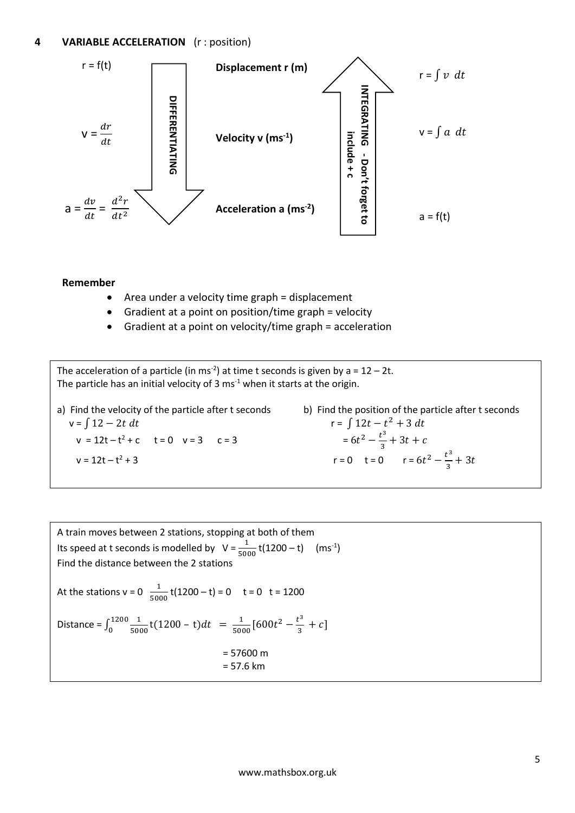

#### **Remember**

- Area under a velocity time graph = displacement
- Gradient at a point on position/time graph = velocity
- Gradient at a point on velocity/time graph = acceleration

The acceleration of a particle (in ms<sup>-2</sup>) at time t seconds is given by a =  $12 - 2t$ . The particle has an initial velocity of 3  $ms<sup>-1</sup>$  when it starts at the origin.

a) Find the velocity of the particle after t seconds b) Find the position of the particle after t seconds  $v = ∫ 12 - 2t dt$  $v = 12t - t^2 + c$   $t = 0$   $v = 3$   $c = 3$   $= 6t$  $v = 12t - t^2 + 3$  $r = 0$   $t = 0$   $r = 6t^2 - \frac{t^3}{3}$ 

 $r = \int 12t - t^2 + 3 dt$  $2-\frac{t^3}{2}$  $\frac{c}{3} + 3t + c$  $\frac{1}{3} + 3t$ 

A train moves between 2 stations, stopping at both of them Its speed at t seconds is modelled by  $V = \frac{1}{5000} t(1200 - t)$  (ms<sup>-1</sup>) Find the distance between the 2 stations At the stations  $v = 0$   $\frac{1}{5000}t(1200 - t) = 0$   $t = 0$   $t = 1200$ Distance =  $\int_0^{1200} \frac{1}{500}$  $t_0$ <sup>-1200</sup> $\frac{1}{5000}$ t(1200 – t)dt =  $\frac{1}{500}$  $\frac{1}{5000}$ [600 $t^2 - \frac{t^3}{3}$  $\frac{c}{3} + c$ ] = 57600 m = 57.6 km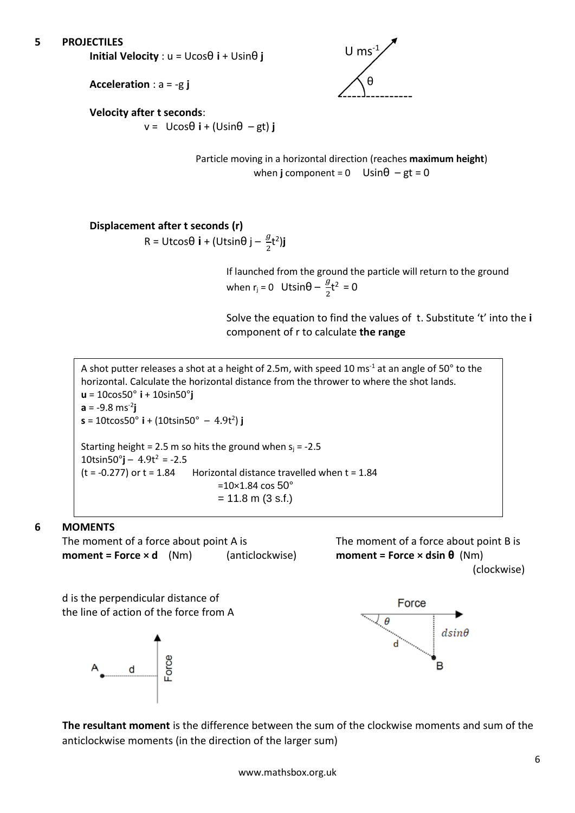### **5 PROJECTILES**

**Initial Velocity** : u = Ucosθ **i** + Usinθ **j**



**Acceleration** : a = -g **j**

# **Velocity after t seconds**:

 $v = U\cos\theta$  **i** + (Usin $\theta$  – gt) **j** 

Particle moving in a horizontal direction (reaches **maximum height**) when **j** component =  $0$  Usin $\theta$  – gt =  $0$ 

#### **Displacement after t seconds (r)**  R = Utcosθ **i** + (Utsinθ j –  $\frac{y}{2}$ t<sup>2</sup>)j

If launched from the ground the particle will return to the ground when  $r_j = 0$  Utsin $\theta - \frac{g}{2}$  $\frac{9}{2}$ t<sup>2</sup> = 0

Solve the equation to find the values of t. Substitute 't' into the **i** component of r to calculate **the range**

A shot putter releases a shot at a height of 2.5m, with speed 10 ms<sup>-1</sup> at an angle of 50 $^{\circ}$  to the horizontal. Calculate the horizontal distance from the thrower to where the shot lands. **u** = 10cos50° **i** + 10sin50°**j a** = -9.8 ms-2 **j s** = 10tcos50° **i** + (10tsin50° – 4.9t 2 ) **j** Starting height = 2.5 m so hits the ground when  $s_i$  = -2.5 10tsin50°**j** –  $4.9t^2$  = -2.5  $(t = -0.277)$  or  $t = 1.84$  Horizontal distance travelled when  $t = 1.84$  $=10\times1.84 \cos 50^{\circ}$  $= 11.8$  m (3 s.f.)

# **6 MOMENTS**

The moment of a force about point A is The moment of a force about point B is **moment = Force × d** (Nm) (anticlockwise) **moment = Force × dsin θ** (Nm)



d is the perpendicular distance of the line of action of the force from A





**The resultant moment** is the difference between the sum of the clockwise moments and sum of the anticlockwise moments (in the direction of the larger sum)